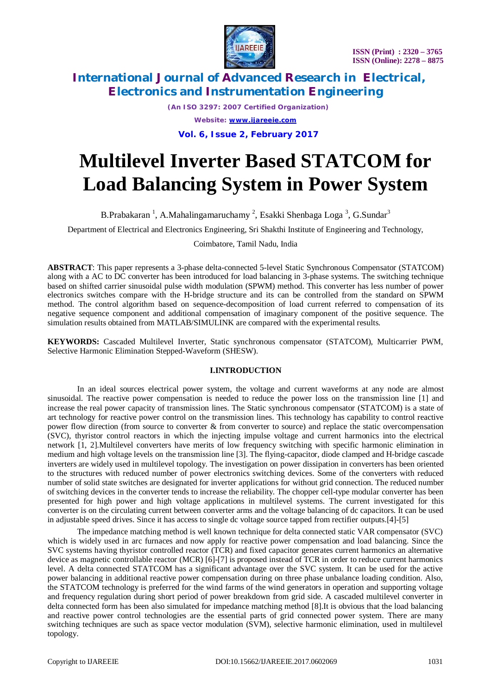

*(An ISO 3297: 2007 Certified Organization) Website: [www.ijareeie.com](http://www.ijareeie.com)*

**Vol. 6, Issue 2, February 2017**

# **Multilevel Inverter Based STATCOM for Load Balancing System in Power System**

B.Prabakaran<sup>1</sup>, A.Mahalingamaruchamy<sup>2</sup>, Esakki Shenbaga Loga<sup>3</sup>, G.Sundar<sup>3</sup>

Department of Electrical and Electronics Engineering, Sri Shakthi Institute of Engineering and Technology,

Coimbatore, Tamil Nadu, India

**ABSTRACT**: This paper represents a 3-phase delta-connected 5-level Static Synchronous Compensator (STATCOM) along with a AC to DC converter has been introduced for load balancing in 3-phase systems. The switching technique based on shifted carrier sinusoidal pulse width modulation (SPWM) method. This converter has less number of power electronics switches compare with the H-bridge structure and its can be controlled from the standard on SPWM method. The control algorithm based on sequence-decomposition of load current referred to compensation of its negative sequence component and additional compensation of imaginary component of the positive sequence. The simulation results obtained from MATLAB/SIMULINK are compared with the experimental results.

**KEYWORDS:** Cascaded Multilevel Inverter, Static synchronous compensator (STATCOM), Multicarrier PWM, Selective Harmonic Elimination Stepped-Waveform (SHESW).

### **I.INTRODUCTION**

In an ideal sources electrical power system, the voltage and current waveforms at any node are almost sinusoidal. The reactive power compensation is needed to reduce the power loss on the transmission line [1] and increase the real power capacity of transmission lines. The Static synchronous compensator (STATCOM) is a state of art technology for reactive power control on the transmission lines. This technology has capability to control reactive power flow direction (from source to converter & from converter to source) and replace the static overcompensation (SVC), thyristor control reactors in which the injecting impulse voltage and current harmonics into the electrical network [1, 2].Multilevel converters have merits of low frequency switching with specific harmonic elimination in medium and high voltage levels on the transmission line [3]. The flying-capacitor, diode clamped and H-bridge cascade inverters are widely used in multilevel topology. The investigation on power dissipation in converters has been oriented to the structures with reduced number of power electronics switching devices. Some of the converters with reduced number of solid state switches are designated for inverter applications for without grid connection. The reduced number of switching devices in the converter tends to increase the reliability. The chopper cell-type modular converter has been presented for high power and high voltage applications in multilevel systems. The current investigated for this converter is on the circulating current between converter arms and the voltage balancing of dc capacitors. It can be used in adjustable speed drives. Since it has access to single dc voltage source tapped from rectifier outputs.[4]-[5]

The impedance matching method is well known technique for delta connected static VAR compensator (SVC) which is widely used in arc furnaces and now apply for reactive power compensation and load balancing. Since the SVC systems having thyristor controlled reactor (TCR) and fixed capacitor generates current harmonics an alternative device as magnetic controllable reactor (MCR) [6]-[7] is proposed instead of TCR in order to reduce current harmonics level. A delta connected STATCOM has a significant advantage over the SVC system. It can be used for the active power balancing in additional reactive power compensation during on three phase unbalance loading condition. Also, the STATCOM technology is preferred for the wind farms of the wind generators in operation and supporting voltage and frequency regulation during short period of power breakdown from grid side. A cascaded multilevel converter in delta connected form has been also simulated for impedance matching method [8].It is obvious that the load balancing and reactive power control technologies are the essential parts of grid connected power system. There are many switching techniques are such as space vector modulation (SVM), selective harmonic elimination, used in multilevel topology.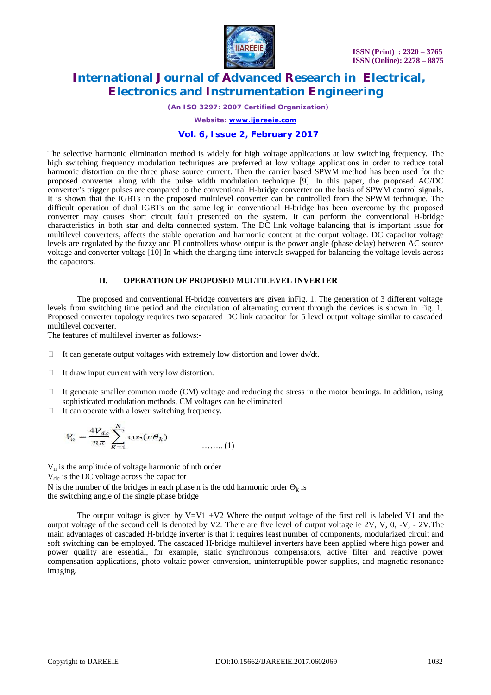

*(An ISO 3297: 2007 Certified Organization)*

*Website: [www.ijareeie.com](http://www.ijareeie.com)*

### **Vol. 6, Issue 2, February 2017**

The selective harmonic elimination method is widely for high voltage applications at low switching frequency. The high switching frequency modulation techniques are preferred at low voltage applications in order to reduce total harmonic distortion on the three phase source current. Then the carrier based SPWM method has been used for the proposed converter along with the pulse width modulation technique [9]. In this paper, the proposed AC/DC converter's trigger pulses are compared to the conventional H-bridge converter on the basis of SPWM control signals. It is shown that the IGBTs in the proposed multilevel converter can be controlled from the SPWM technique. The difficult operation of dual IGBTs on the same leg in conventional H-bridge has been overcome by the proposed converter may causes short circuit fault presented on the system. It can perform the conventional H-bridge characteristics in both star and delta connected system. The DC link voltage balancing that is important issue for multilevel converters, affects the stable operation and harmonic content at the output voltage. DC capacitor voltage levels are regulated by the fuzzy and PI controllers whose output is the power angle (phase delay) between AC source voltage and converter voltage [10] In which the charging time intervals swapped for balancing the voltage levels across the capacitors.

#### **II. OPERATION OF PROPOSED MULTILEVEL INVERTER**

The proposed and conventional H-bridge converters are given inFig. 1. The generation of 3 different voltage levels from switching time period and the circulation of alternating current through the devices is shown in Fig. 1. Proposed converter topology requires two separated DC link capacitor for 5 level output voltage similar to cascaded multilevel converter.

The features of multilevel inverter as follows:-

- $\Box$  It can generate output voltages with extremely low distortion and lower dv/dt.
- $\Box$  It draw input current with very low distortion.
- $\Box$  It generate smaller common mode (CM) voltage and reducing the stress in the motor bearings. In addition, using sophisticated modulation methods, CM voltages can be eliminated.
- $\Box$  It can operate with a lower switching frequency.

$$
V_n = \frac{4V_{dc}}{n\pi} \sum_{K=1}^{N} \cos(n\theta_K)
$$
 (1)

 $V_n$  is the amplitude of voltage harmonic of nth order

 $V_{dc}$  is the DC voltage across the capacitor

N is the number of the bridges in each phase n is the odd harmonic order  $\Theta_k$  is the switching angle of the single phase bridge

The output voltage is given by  $V=V1 +V2$  Where the output voltage of the first cell is labeled V1 and the output voltage of the second cell is denoted by V2. There are five level of output voltage ie 2V, V, 0, -V, - 2V.The main advantages of cascaded H-bridge inverter is that it requires least number of components, modularized circuit and soft switching can be employed. The cascaded H-bridge multilevel inverters have been applied where high power and power quality are essential, for example, static synchronous compensators, active filter and reactive power compensation applications, photo voltaic power conversion, uninterruptible power supplies, and magnetic resonance imaging.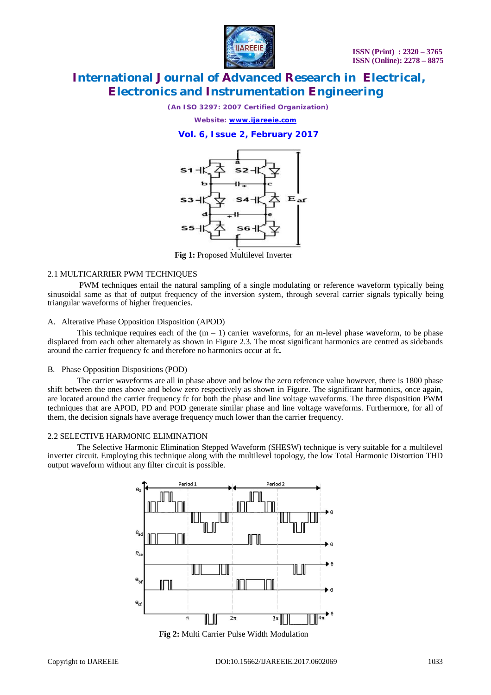

*(An ISO 3297: 2007 Certified Organization)*

*Website: [www.ijareeie.com](http://www.ijareeie.com)*

### **Vol. 6, Issue 2, February 2017**



**Fig 1:** Proposed Multilevel Inverter

### 2.1 MULTICARRIER PWM TECHNIQUES

PWM techniques entail the natural sampling of a single modulating or reference waveform typically being sinusoidal same as that of output frequency of the inversion system, through several carrier signals typically being triangular waveforms of higher frequencies.

#### A. Alterative Phase Opposition Disposition (APOD)

This technique requires each of the  $(m - 1)$  carrier waveforms, for an m-level phase waveform, to be phase displaced from each other alternately as shown in Figure 2.3. The most significant harmonics are centred as sidebands around the carrier frequency fc and therefore no harmonics occur at fc**.**

### B. Phase Opposition Dispositions (POD)

The carrier waveforms are all in phase above and below the zero reference value however, there is 1800 phase shift between the ones above and below zero respectively as shown in Figure. The significant harmonics, once again, are located around the carrier frequency fc for both the phase and line voltage waveforms. The three disposition PWM techniques that are APOD, PD and POD generate similar phase and line voltage waveforms. Furthermore, for all of them, the decision signals have average frequency much lower than the carrier frequency.

### 2.2 SELECTIVE HARMONIC ELIMINATION

The Selective Harmonic Elimination Stepped Waveform (SHESW) technique is very suitable for a multilevel inverter circuit. Employing this technique along with the multilevel topology, the low Total Harmonic Distortion THD output waveform without any filter circuit is possible.



**Fig 2:** Multi Carrier Pulse Width Modulation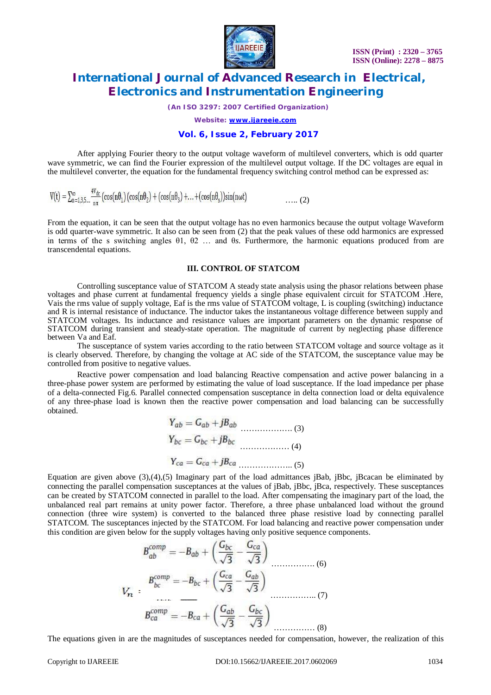

*(An ISO 3297: 2007 Certified Organization)*

*Website: [www.ijareeie.com](http://www.ijareeie.com)*

### **Vol. 6, Issue 2, February 2017**

After applying Fourier theory to the output voltage waveform of multilevel converters, which is odd quarter wave symmetric, we can find the Fourier expression of the multilevel output voltage. If the DC voltages are equal in the multilevel converter, the equation for the fundamental frequency switching control method can be expressed as:

$$
V(t) = \sum_{n=1,3,5,\dots}^{\infty} \frac{4V_{dc}}{n\pi} \left(\cos(n\theta_1)\left(\cos(n\theta_2) + \left(\cos(n\theta_3) + \dots + \left(\cos(n\theta_s)\right)\sin(n\omega t\right)\right)\right.\n\tag{2}
$$

From the equation, it can be seen that the output voltage has no even harmonics because the output voltage Waveform is odd quarter-wave symmetric. It also can be seen from (2) that the peak values of these odd harmonics are expressed in terms of the s switching angles θ1, θ2 … and θ*s*. Furthermore, the harmonic equations produced from are transcendental equations.

#### **III. CONTROL OF STATCOM**

Controlling susceptance value of STATCOM A steady state analysis using the phasor relations between phase voltages and phase current at fundamental frequency yields a single phase equivalent circuit for STATCOM .Here, Vais the rms value of supply voltage, Eaf is the rms value of STATCOM voltage, L is coupling (switching) inductance and R is internal resistance of inductance. The inductor takes the instantaneous voltage difference between supply and STATCOM voltages. Its inductance and resistance values are important parameters on the dynamic response of STATCOM during transient and steady-state operation. The magnitude of current by neglecting phase difference between Va and Eaf.

The susceptance of system varies according to the ratio between STATCOM voltage and source voltage as it is clearly observed. Therefore, by changing the voltage at AC side of the STATCOM, the susceptance value may be controlled from positive to negative values.

Reactive power compensation and load balancing Reactive compensation and active power balancing in a three-phase power system are performed by estimating the value of load susceptance. If the load impedance per phase of a delta-connected Fig.6. Parallel connected compensation susceptance in delta connection load or delta equivalence of any three-phase load is known then the reactive power compensation and load balancing can be successfully obtained.

$$
Y_{ab} = G_{ab} + jB_{ab}
$$
  
\n
$$
Y_{bc} = G_{bc} + jB_{bc}
$$
  
\n
$$
Y_{ca} = G_{ca} + jB_{ca}
$$
  
\n(4)  
\n(5)

Equation are given above  $(3)$ , $(4)$ , $(5)$  Imaginary part of the load admittances jBab, jBbc, jBcacan be eliminated by connecting the parallel compensation susceptances at the values of jBab, jBbc, jBca, respectively. These susceptances can be created by STATCOM connected in parallel to the load. After compensating the imaginary part of the load, the unbalanced real part remains at unity power factor. Therefore, a three phase unbalanced load without the ground connection (three wire system) is converted to the balanced three phase resistive load by connecting parallel STATCOM. The susceptances injected by the STATCOM. For load balancing and reactive power compensation under this condition are given below for the supply voltages having only positive sequence components.

$$
B_{ab}^{comp} = -B_{ab} + \left(\frac{G_{bc}}{\sqrt{3}} - \frac{G_{ca}}{\sqrt{3}}\right)
$$
  

$$
V_n = \frac{B_{bc}^{comp}}{\sqrt{3}} = -B_{bc} + \left(\frac{G_{ca}}{\sqrt{3}} - \frac{G_{ab}}{\sqrt{3}}\right)
$$
  

$$
B_{ca}^{comp} = -B_{ca} + \left(\frac{G_{ab}}{\sqrt{3}} - \frac{G_{bc}}{\sqrt{3}}\right)
$$
 (3)

The equations given in are the magnitudes of susceptances needed for compensation, however, the realization of this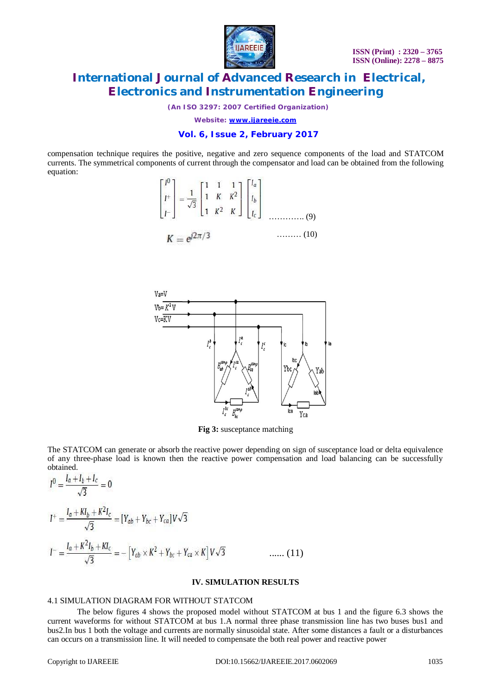

*(An ISO 3297: 2007 Certified Organization)*

*Website: [www.ijareeie.com](http://www.ijareeie.com)*

### **Vol. 6, Issue 2, February 2017**

compensation technique requires the positive, negative and zero sequence components of the load and STATCOM currents. The symmetrical components of current through the compensator and load can be obtained from the following equation:

$$
\begin{bmatrix} I^0 \\ I^+ \\ I^- \end{bmatrix} = \frac{1}{\sqrt{3}} \begin{bmatrix} 1 & 1 & 1 \\ 1 & K & K^2 \\ 1 & K^2 & K \end{bmatrix} \begin{bmatrix} I_a \\ I_b \\ I_c \end{bmatrix}
$$
\n
$$
K = e^{j2\pi/3} \qquad \qquad (10)
$$



**Fig 3:** susceptance matching

The STATCOM can generate or absorb the reactive power depending on sign of susceptance load or delta equivalence of any three-phase load is known then the reactive power compensation and load balancing can be successfully obtained.

$$
I^{0} = \frac{I_{a} + I_{b} + I_{c}}{\sqrt{3}} = 0
$$
  
\n
$$
I^{+} = \frac{I_{a} + Kl_{b} + K^{2}I_{c}}{\sqrt{3}} = [Y_{ab} + Y_{bc} + Y_{ca}]V\sqrt{3}
$$
  
\n
$$
I^{-} = \frac{I_{a} + K^{2}I_{b} + KI_{c}}{\sqrt{3}} = -[Y_{ab} \times K^{2} + Y_{bc} + Y_{ca} \times K]V\sqrt{3}
$$
 ...... (11)

### **IV. SIMULATION RESULTS**

#### 4.1 SIMULATION DIAGRAM FOR WITHOUT STATCOM

The below figures 4 shows the proposed model without STATCOM at bus 1 and the figure 6.3 shows the current waveforms for without STATCOM at bus 1.A normal three phase transmission line has two buses bus1 and bus2.In bus 1 both the voltage and currents are normally sinusoidal state. After some distances a fault or a disturbances can occurs on a transmission line. It will needed to compensate the both real power and reactive power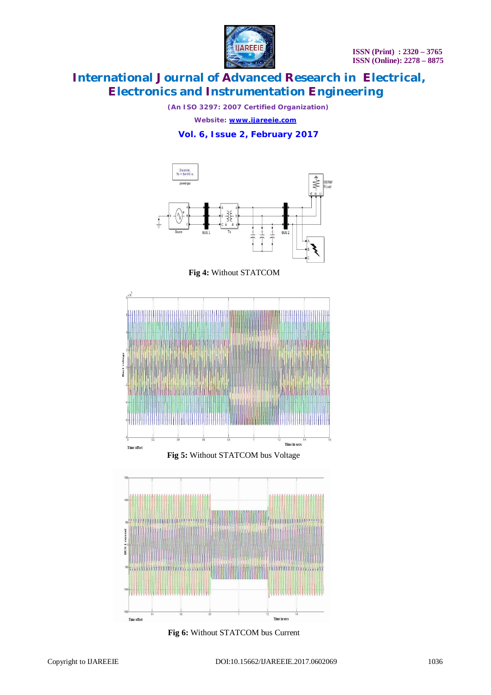

*(An ISO 3297: 2007 Certified Organization)*

*Website: [www.ijareeie.com](http://www.ijareeie.com)*

### **Vol. 6, Issue 2, February 2017**







**Fig 5:** Without STATCOM bus Voltage



**Fig 6:** Without STATCOM bus Current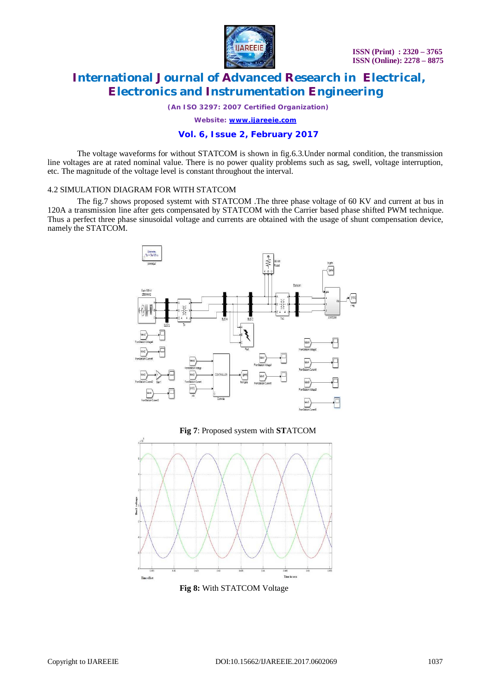

*(An ISO 3297: 2007 Certified Organization)*

*Website: [www.ijareeie.com](http://www.ijareeie.com)*

### **Vol. 6, Issue 2, February 2017**

The voltage waveforms for without STATCOM is shown in fig.6.3.Under normal condition, the transmission line voltages are at rated nominal value. There is no power quality problems such as sag, swell, voltage interruption, etc. The magnitude of the voltage level is constant throughout the interval.

#### 4.2 SIMULATION DIAGRAM FOR WITH STATCOM

The fig.7 shows proposed systemt with STATCOM .The three phase voltage of 60 KV and current at bus in 120A a transmission line after gets compensated by STATCOM with the Carrier based phase shifted PWM technique. Thus a perfect three phase sinusoidal voltage and currents are obtained with the usage of shunt compensation device, namely the STATCOM.





**Fig 8:** With STATCOM Voltage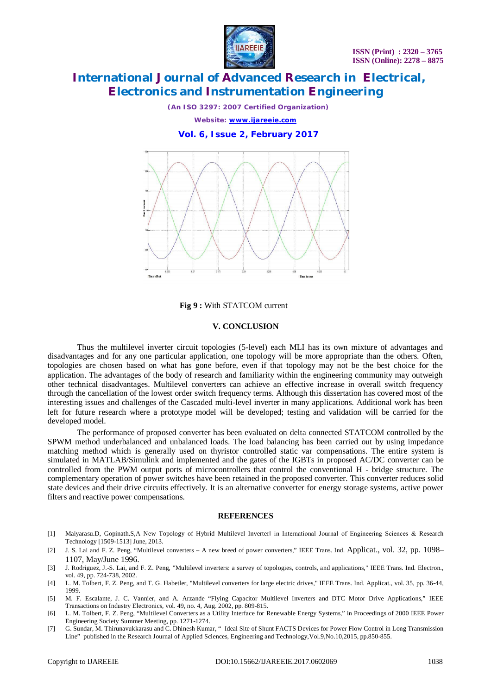

*(An ISO 3297: 2007 Certified Organization) Website: [www.ijareeie.com](http://www.ijareeie.com)*

**Vol. 6, Issue 2, February 2017**



**Fig 9 :** With STATCOM current

#### **V. CONCLUSION**

Thus the multilevel inverter circuit topologies (5-level) each MLI has its own mixture of advantages and disadvantages and for any one particular application, one topology will be more appropriate than the others. Often, topologies are chosen based on what has gone before, even if that topology may not be the best choice for the application. The advantages of the body of research and familiarity within the engineering community may outweigh other technical disadvantages. Multilevel converters can achieve an effective increase in overall switch frequency through the cancellation of the lowest order switch frequency terms. Although this dissertation has covered most of the interesting issues and challenges of the Cascaded multi-level inverter in many applications. Additional work has been left for future research where a prototype model will be developed; testing and validation will be carried for the developed model.

The performance of proposed converter has been evaluated on delta connected STATCOM controlled by the SPWM method underbalanced and unbalanced loads. The load balancing has been carried out by using impedance matching method which is generally used on thyristor controlled static var compensations. The entire system is simulated in MATLAB/Simulink and implemented and the gates of the IGBTs in proposed AC/DC converter can be controlled from the PWM output ports of microcontrollers that control the conventional H - bridge structure. The complementary operation of power switches have been retained in the proposed converter. This converter reduces solid state devices and their drive circuits effectively. It is an alternative converter for energy storage systems, active power filters and reactive power compensations.

#### **REFERENCES**

- [1] Maiyarasu.D, Gopinath.S,A New Topology of Hybrid Multilevel Inverterl in International Journal of Engineering Sciences & Research Technology [1509-1513] June, 2013.
- [2] J. S. Lai and F. Z. Peng, "Multilevel converters A new breed of power converters," IEEE Trans. Ind. Applicat., vol. 32, pp. 1098– 1107, May/June 1996.
- [3] J. Rodriguez, J.-S. Lai, and F. Z. Peng, "Multilevel inverters: a survey of topologies, controls, and applications," IEEE Trans. Ind. Electron., vol. 49, pp. 724-738, 2002.
- [4] L. M. Tolbert, F. Z. Peng, and T. G. Habetler, "Multilevel converters for large electric drives," IEEE Trans. Ind. Applicat., vol. 35, pp. 36-44, 1999.
- [5] M. F. Escalante, J. C. Vannier, and A. Arzande "Flying Capacitor Multilevel Inverters and DTC Motor Drive Applications," IEEE Transactions on Industry Electronics, vol. 49, no. 4, Aug. 2002, pp. 809-815.
- [6] L. M. Tolbert, F. Z. Peng, "Multilevel Converters as a Utility Interface for Renewable Energy Systems," in Proceedings of 2000 IEEE Power Engineering Society Summer Meeting, pp. 1271-1274.
- [7] G. Sundar, M. Thirunavukkarasu and C. Dhinesh Kumar, " Ideal Site of Shunt FACTS Devices for Power Flow Control in Long Transmission Line" published in the Research Journal of Applied Sciences, Engineering and Technology,Vol.9,No.10,2015, pp.850-855.